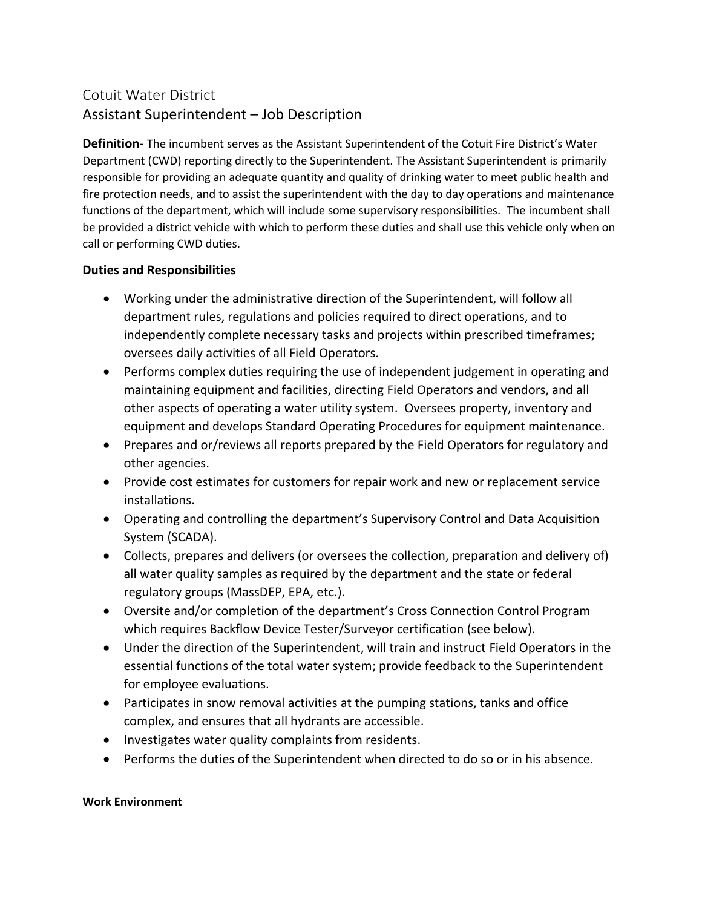## Cotuit Water District Assistant Superintendent – Job Description

**Definition**- The incumbent serves as the Assistant Superintendent of the Cotuit Fire District's Water Department (CWD) reporting directly to the Superintendent. The Assistant Superintendent is primarily responsible for providing an adequate quantity and quality of drinking water to meet public health and fire protection needs, and to assist the superintendent with the day to day operations and maintenance functions of the department, which will include some supervisory responsibilities. The incumbent shall be provided a district vehicle with which to perform these duties and shall use this vehicle only when on call or performing CWD duties.

## **Duties and Responsibilities**

- Working under the administrative direction of the Superintendent, will follow all department rules, regulations and policies required to direct operations, and to independently complete necessary tasks and projects within prescribed timeframes; oversees daily activities of all Field Operators.
- Performs complex duties requiring the use of independent judgement in operating and maintaining equipment and facilities, directing Field Operators and vendors, and all other aspects of operating a water utility system. Oversees property, inventory and equipment and develops Standard Operating Procedures for equipment maintenance.
- Prepares and or/reviews all reports prepared by the Field Operators for regulatory and other agencies.
- Provide cost estimates for customers for repair work and new or replacement service installations.
- Operating and controlling the department's Supervisory Control and Data Acquisition System (SCADA).
- Collects, prepares and delivers (or oversees the collection, preparation and delivery of) all water quality samples as required by the department and the state or federal regulatory groups (MassDEP, EPA, etc.).
- Oversite and/or completion of the department's Cross Connection Control Program which requires Backflow Device Tester/Surveyor certification (see below).
- Under the direction of the Superintendent, will train and instruct Field Operators in the essential functions of the total water system; provide feedback to the Superintendent for employee evaluations.
- Participates in snow removal activities at the pumping stations, tanks and office complex, and ensures that all hydrants are accessible.
- Investigates water quality complaints from residents.
- Performs the duties of the Superintendent when directed to do so or in his absence.

## **Work Environment**